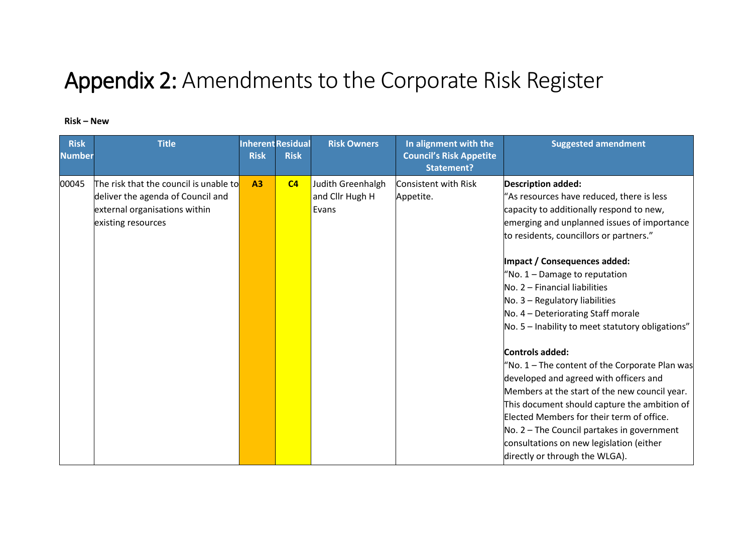## Appendix 2: Amendments to the Corporate Risk Register

## **Risk – New**

| <b>Risk</b><br><b>Number</b> | <b>Title</b>                                                                                                                       | <b>Risk</b> | <b>Inherent Residual</b><br><b>Risk</b> | <b>Risk Owners</b>                            | In alignment with the<br><b>Council's Risk Appetite</b><br>Statement? | <b>Suggested amendment</b>                                                                                                                                                                                                                                                                                                                                                               |
|------------------------------|------------------------------------------------------------------------------------------------------------------------------------|-------------|-----------------------------------------|-----------------------------------------------|-----------------------------------------------------------------------|------------------------------------------------------------------------------------------------------------------------------------------------------------------------------------------------------------------------------------------------------------------------------------------------------------------------------------------------------------------------------------------|
| 00045                        | The risk that the council is unable to<br>deliver the agenda of Council and<br>external organisations within<br>existing resources | A3          | C <sub>4</sub>                          | Judith Greenhalgh<br>and Cllr Hugh H<br>Evans | Consistent with Risk<br>Appetite.                                     | <b>Description added:</b><br>"As resources have reduced, there is less<br>capacity to additionally respond to new,<br>emerging and unplanned issues of importance<br>to residents, councillors or partners."<br>Impact / Consequences added:                                                                                                                                             |
|                              |                                                                                                                                    |             |                                         |                                               |                                                                       | "No. 1 - Damage to reputation<br>$No. 2 - Financial liabilities$<br>No. 3 - Regulatory liabilities<br>No. 4 - Deteriorating Staff morale<br>No. 5 - Inability to meet statutory obligations"                                                                                                                                                                                             |
|                              |                                                                                                                                    |             |                                         |                                               |                                                                       | Controls added:<br>"No. 1 – The content of the Corporate Plan was<br>developed and agreed with officers and<br>Members at the start of the new council year.<br>This document should capture the ambition of<br>Elected Members for their term of office.<br>$No. 2 - The Council particles in government$<br>consultations on new legislation (either<br>directly or through the WLGA). |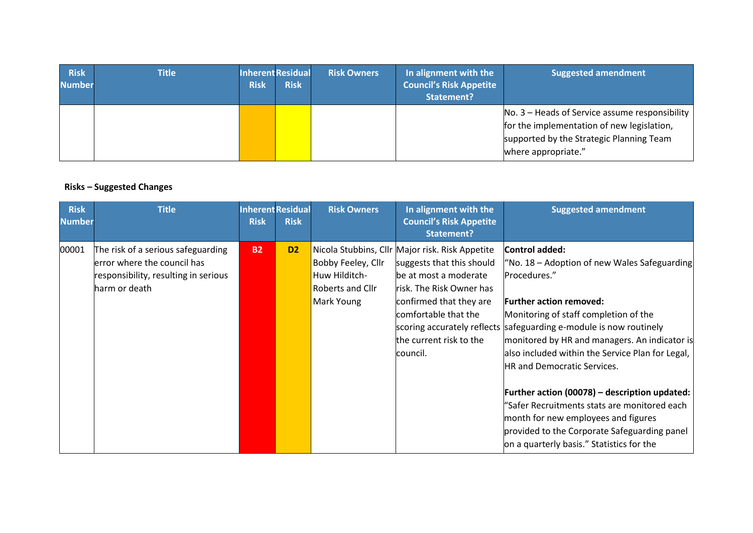| <b>Risk</b><br><b>Number</b> | <b>Title</b> | <b>Risk</b> | <b>Inherent Residual</b><br><b>Risk</b> | <b>Risk Owners</b> | In alignment with the<br><b>Council's Risk Appetite</b><br>Statement? | <b>Suggested amendment</b>                                                                                                                                      |
|------------------------------|--------------|-------------|-----------------------------------------|--------------------|-----------------------------------------------------------------------|-----------------------------------------------------------------------------------------------------------------------------------------------------------------|
|                              |              |             |                                         |                    |                                                                       | No. 3 – Heads of Service assume responsibility<br>for the implementation of new legislation,<br>supported by the Strategic Planning Team<br>where appropriate." |

## **Risks – Suggested Changes**

| <b>Risk</b><br><b>Number</b> | <b>Title</b>                                                                                                               | <b>Risk</b> | <b>Inherent Residual</b><br><b>Risk</b> | <b>Risk Owners</b>                                                    | In alignment with the<br><b>Council's Risk Appetite</b><br><b>Statement?</b>                                                                                                                                                | <b>Suggested amendment</b>                                                                                                                                                                                                                                                                                                                                                                                                                                                                                                                                                                               |
|------------------------------|----------------------------------------------------------------------------------------------------------------------------|-------------|-----------------------------------------|-----------------------------------------------------------------------|-----------------------------------------------------------------------------------------------------------------------------------------------------------------------------------------------------------------------------|----------------------------------------------------------------------------------------------------------------------------------------------------------------------------------------------------------------------------------------------------------------------------------------------------------------------------------------------------------------------------------------------------------------------------------------------------------------------------------------------------------------------------------------------------------------------------------------------------------|
| 00001                        | The risk of a serious safeguarding<br>error where the council has<br>responsibility, resulting in serious<br>harm or death | <b>B2</b>   | D <sub>2</sub>                          | Bobby Feeley, Cllr<br>Huw Hilditch-<br>Roberts and Cllr<br>Mark Young | Nicola Stubbins, Cllr Major risk. Risk Appetite<br>suggests that this should<br>be at most a moderate<br>risk. The Risk Owner has<br>confirmed that they are<br>comfortable that the<br>the current risk to the<br>council. | Control added:<br>"No. 18 – Adoption of new Wales Safeguarding<br>Procedures."<br><b>Further action removed:</b><br>Monitoring of staff completion of the<br>scoring accurately reflects safeguarding e-module is now routinely<br>monitored by HR and managers. An indicator is<br>also included within the Service Plan for Legal,<br>HR and Democratic Services.<br>Further action (00078) - description updated:<br>'Safer Recruitments stats are monitored each<br>month for new employees and figures<br>provided to the Corporate Safeguarding panel<br>on a quarterly basis." Statistics for the |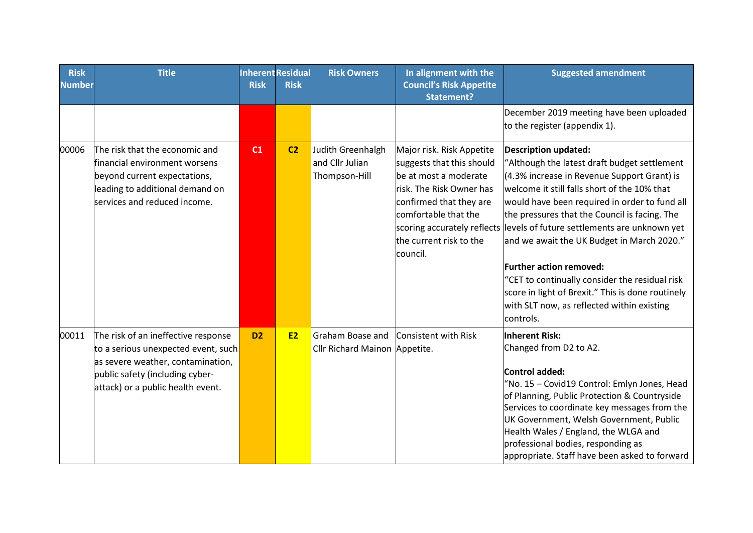| <b>Risk</b><br><b>Number</b> | <b>Title</b>                                                                                                                                                                            | <b>Risk</b>    | <b>Inherent Residual</b><br><b>Risk</b> | <b>Risk Owners</b>                                    | In alignment with the<br><b>Council's Risk Appetite</b><br><b>Statement?</b>                                                                                                                          | <b>Suggested amendment</b>                                                                                                                                                                                                                                                                                                                                                                                                                                                                                                                                                                                 |
|------------------------------|-----------------------------------------------------------------------------------------------------------------------------------------------------------------------------------------|----------------|-----------------------------------------|-------------------------------------------------------|-------------------------------------------------------------------------------------------------------------------------------------------------------------------------------------------------------|------------------------------------------------------------------------------------------------------------------------------------------------------------------------------------------------------------------------------------------------------------------------------------------------------------------------------------------------------------------------------------------------------------------------------------------------------------------------------------------------------------------------------------------------------------------------------------------------------------|
|                              |                                                                                                                                                                                         |                |                                         |                                                       |                                                                                                                                                                                                       | December 2019 meeting have been uploaded<br>to the register (appendix 1).                                                                                                                                                                                                                                                                                                                                                                                                                                                                                                                                  |
| 00006                        | The risk that the economic and<br>financial environment worsens<br>beyond current expectations,<br>leading to additional demand on<br>services and reduced income.                      | C <sub>1</sub> | C <sub>2</sub>                          | Judith Greenhalgh<br>and Cllr Julian<br>Thompson-Hill | Major risk. Risk Appetite<br>suggests that this should<br>be at most a moderate<br>risk. The Risk Owner has<br>confirmed that they are<br>comfortable that the<br>the current risk to the<br>council. | <b>Description updated:</b><br>'Although the latest draft budget settlement<br>(4.3% increase in Revenue Support Grant) is<br>welcome it still falls short of the 10% that<br>would have been required in order to fund all<br>the pressures that the Council is facing. The<br>scoring accurately reflects levels of future settlements are unknown yet<br>and we await the UK Budget in March 2020."<br><b>Further action removed:</b><br>"CET to continually consider the residual risk<br>score in light of Brexit." This is done routinely<br>with SLT now, as reflected within existing<br>controls. |
| 00011                        | The risk of an ineffective response<br>to a serious unexpected event, such<br>as severe weather, contamination,<br>public safety (including cyber-<br>attack) or a public health event. | D <sub>2</sub> | <b>E2</b>                               | Graham Boase and<br>Cllr Richard Mainon Appetite.     | Consistent with Risk                                                                                                                                                                                  | <b>Inherent Risk:</b><br>Changed from D2 to A2.<br>Control added:<br>"No. 15 - Covid19 Control: Emlyn Jones, Head<br>of Planning, Public Protection & Countryside<br>Services to coordinate key messages from the<br>UK Government, Welsh Government, Public<br>Health Wales / England, the WLGA and<br>professional bodies, responding as<br>appropriate. Staff have been asked to forward                                                                                                                                                                                                                |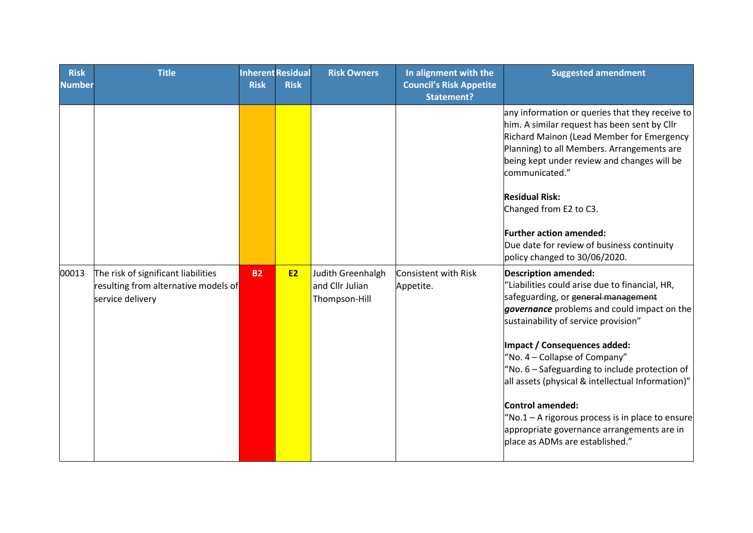| <b>Risk</b><br><b>Number</b> | <b>Title</b>                                                                                    | <b>Risk</b> | <b>Inherent Residual</b><br><b>Risk</b> | <b>Risk Owners</b>                                    | In alignment with the<br><b>Council's Risk Appetite</b><br><b>Statement?</b> | <b>Suggested amendment</b>                                                                                                                                                                                                                                                                                                                                                                                                                                                                                                                   |
|------------------------------|-------------------------------------------------------------------------------------------------|-------------|-----------------------------------------|-------------------------------------------------------|------------------------------------------------------------------------------|----------------------------------------------------------------------------------------------------------------------------------------------------------------------------------------------------------------------------------------------------------------------------------------------------------------------------------------------------------------------------------------------------------------------------------------------------------------------------------------------------------------------------------------------|
|                              |                                                                                                 |             |                                         |                                                       |                                                                              | any information or queries that they receive to<br>him. A similar request has been sent by Cllr<br>Richard Mainon (Lead Member for Emergency<br>Planning) to all Members. Arrangements are<br>being kept under review and changes will be<br>communicated."<br><b>Residual Risk:</b><br>Changed from E2 to C3.<br><b>Further action amended:</b>                                                                                                                                                                                             |
|                              |                                                                                                 |             |                                         |                                                       |                                                                              | Due date for review of business continuity<br>policy changed to 30/06/2020.                                                                                                                                                                                                                                                                                                                                                                                                                                                                  |
| 00013                        | The risk of significant liabilities<br>resulting from alternative models of<br>service delivery | <b>B2</b>   | <b>E2</b>                               | Judith Greenhalgh<br>and Cllr Julian<br>Thompson-Hill | Consistent with Risk<br>Appetite.                                            | <b>Description amended:</b><br>"Liabilities could arise due to financial, HR,<br>safeguarding, or general management<br>governance problems and could impact on the<br>sustainability of service provision"<br>Impact / Consequences added:<br>"No. 4 - Collapse of Company"<br>"No. 6 - Safeguarding to include protection of<br>all assets (physical & intellectual Information)"<br>Control amended:<br>"No.1 - A rigorous process is in place to ensure<br>appropriate governance arrangements are in<br>place as ADMs are established." |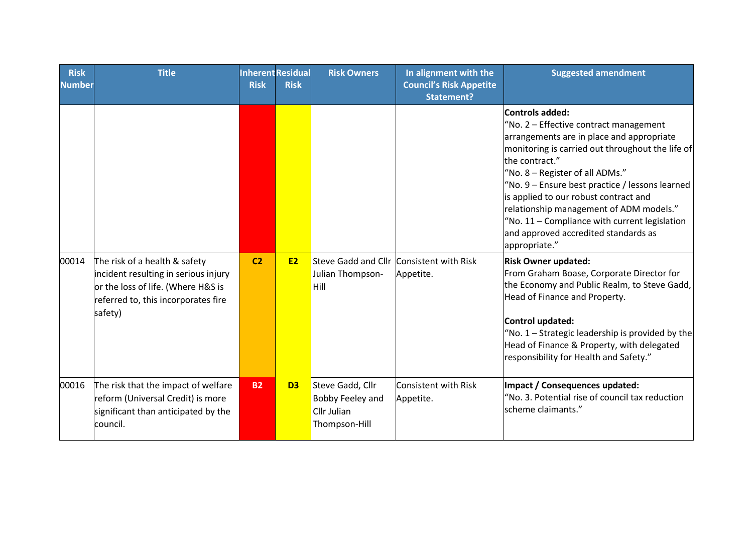| <b>Risk</b><br><b>Number</b> | <b>Title</b>                                                                                                                                                  | <b>Risk</b>    | <b>InherentResidual</b><br><b>Risk</b> | <b>Risk Owners</b>                                                   | In alignment with the<br><b>Council's Risk Appetite</b><br><b>Statement?</b> | <b>Suggested amendment</b>                                                                                                                                                                                                                                                                                                                                                                                                                                       |
|------------------------------|---------------------------------------------------------------------------------------------------------------------------------------------------------------|----------------|----------------------------------------|----------------------------------------------------------------------|------------------------------------------------------------------------------|------------------------------------------------------------------------------------------------------------------------------------------------------------------------------------------------------------------------------------------------------------------------------------------------------------------------------------------------------------------------------------------------------------------------------------------------------------------|
|                              |                                                                                                                                                               |                |                                        |                                                                      |                                                                              | Controls added:<br>"No. 2 - Effective contract management<br>arrangements are in place and appropriate<br>monitoring is carried out throughout the life of<br>the contract."<br>"No. 8 - Register of all ADMs."<br>"No. 9 - Ensure best practice / lessons learned<br>is applied to our robust contract and<br>relationship management of ADM models."<br>"No. 11 - Compliance with current legislation<br>and approved accredited standards as<br>appropriate." |
| 00014                        | The risk of a health & safety<br>incident resulting in serious injury<br>or the loss of life. (Where H&S is<br>referred to, this incorporates fire<br>safety) | C <sub>2</sub> | <b>E2</b>                              | <b>Steve Gadd and Cllr</b><br>Julian Thompson-<br>Hill               | <b>Consistent with Risk</b><br>Appetite.                                     | <b>Risk Owner updated:</b><br>From Graham Boase, Corporate Director for<br>the Economy and Public Realm, to Steve Gadd,<br>Head of Finance and Property.<br>Control updated:<br>"No. 1 - Strategic leadership is provided by the<br>Head of Finance & Property, with delegated<br>responsibility for Health and Safety."                                                                                                                                         |
| 00016                        | The risk that the impact of welfare<br>reform (Universal Credit) is more<br>significant than anticipated by the<br>council.                                   | <b>B2</b>      | D <sub>3</sub>                         | Steve Gadd, Cllr<br>Bobby Feeley and<br>Cllr Julian<br>Thompson-Hill | <b>Consistent with Risk</b><br>Appetite.                                     | Impact / Consequences updated:<br>'No. 3. Potential rise of council tax reduction<br>scheme claimants."                                                                                                                                                                                                                                                                                                                                                          |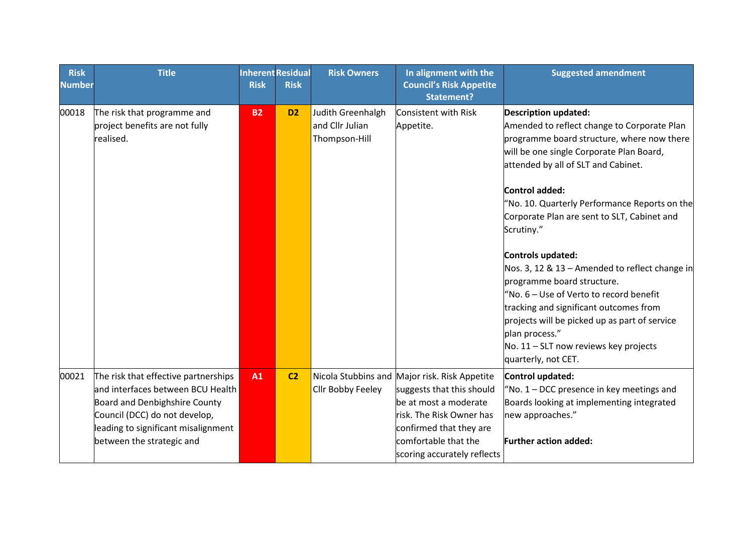| <b>Risk</b><br><b>Number</b> | <b>Title</b>                                                                                                                                                                                                           | <b>Risk</b> | <b>Inherent Residual</b><br><b>Risk</b> | <b>Risk Owners</b>                                    | In alignment with the<br><b>Council's Risk Appetite</b><br><b>Statement?</b>                                                                                                                  | <b>Suggested amendment</b>                                                                                                                                                                                                                                                                                                                                       |
|------------------------------|------------------------------------------------------------------------------------------------------------------------------------------------------------------------------------------------------------------------|-------------|-----------------------------------------|-------------------------------------------------------|-----------------------------------------------------------------------------------------------------------------------------------------------------------------------------------------------|------------------------------------------------------------------------------------------------------------------------------------------------------------------------------------------------------------------------------------------------------------------------------------------------------------------------------------------------------------------|
| 00018                        | The risk that programme and<br>project benefits are not fully<br>realised.                                                                                                                                             | <b>B2</b>   | D <sub>2</sub>                          | Judith Greenhalgh<br>and Cllr Julian<br>Thompson-Hill | Consistent with Risk<br>Appetite.                                                                                                                                                             | <b>Description updated:</b><br>Amended to reflect change to Corporate Plan<br>programme board structure, where now there<br>will be one single Corporate Plan Board,<br>attended by all of SLT and Cabinet.<br>Control added:<br>"No. 10. Quarterly Performance Reports on the<br>Corporate Plan are sent to SLT, Cabinet and<br>Scrutiny."<br>Controls updated: |
|                              |                                                                                                                                                                                                                        |             |                                         |                                                       |                                                                                                                                                                                               | Nos. 3, 12 & 13 – Amended to reflect change in<br>programme board structure.<br>"No. 6 - Use of Verto to record benefit<br>tracking and significant outcomes from<br>projects will be picked up as part of service<br>plan process."<br>No. 11 - SLT now reviews key projects<br>quarterly, not CET.                                                             |
| 00021                        | The risk that effective partnerships<br>and interfaces between BCU Health<br><b>Board and Denbighshire County</b><br>Council (DCC) do not develop,<br>leading to significant misalignment<br>between the strategic and | A1          | C <sub>2</sub>                          | Nicola Stubbins and<br>Cllr Bobby Feeley              | Major risk. Risk Appetite<br>suggests that this should<br>be at most a moderate<br>risk. The Risk Owner has<br>confirmed that they are<br>comfortable that the<br>scoring accurately reflects | Control updated:<br>"No. 1 - DCC presence in key meetings and<br>Boards looking at implementing integrated<br>new approaches."<br>Further action added:                                                                                                                                                                                                          |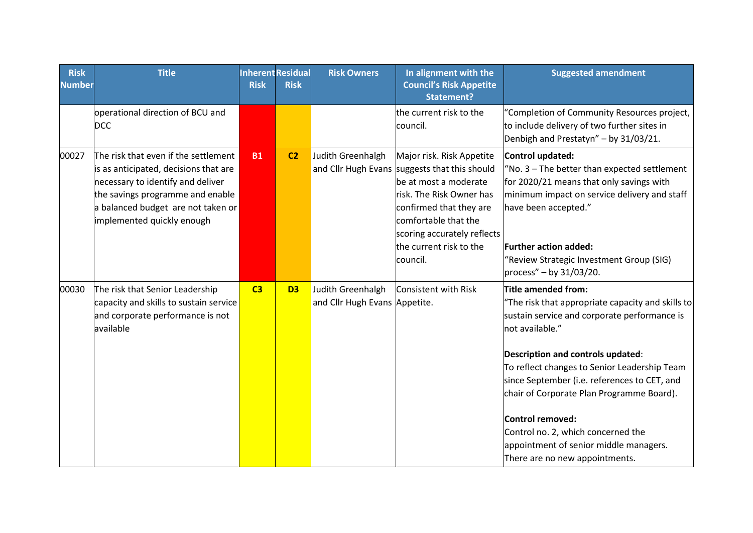| <b>Risk</b><br><b>Number</b> | <b>Title</b>                                                                                                                                                                                                               | <b>Risk</b> | <b>Inherent Residual</b><br><b>Risk</b> | <b>Risk Owners</b>                                 | In alignment with the<br><b>Council's Risk Appetite</b><br><b>Statement?</b>                                                                                                                                                                             | <b>Suggested amendment</b>                                                                                                                                                                                                                                                                                                                                                                                                                                         |
|------------------------------|----------------------------------------------------------------------------------------------------------------------------------------------------------------------------------------------------------------------------|-------------|-----------------------------------------|----------------------------------------------------|----------------------------------------------------------------------------------------------------------------------------------------------------------------------------------------------------------------------------------------------------------|--------------------------------------------------------------------------------------------------------------------------------------------------------------------------------------------------------------------------------------------------------------------------------------------------------------------------------------------------------------------------------------------------------------------------------------------------------------------|
|                              | operational direction of BCU and<br><b>DCC</b>                                                                                                                                                                             |             |                                         |                                                    | the current risk to the<br>council.                                                                                                                                                                                                                      | "Completion of Community Resources project,<br>to include delivery of two further sites in<br>Denbigh and Prestatyn" - by 31/03/21.                                                                                                                                                                                                                                                                                                                                |
| 00027                        | The risk that even if the settlement<br>is as anticipated, decisions that are<br>necessary to identify and deliver<br>the savings programme and enable<br>a balanced budget are not taken or<br>implemented quickly enough | <b>B1</b>   | C <sub>2</sub>                          | Judith Greenhalgh                                  | Major risk. Risk Appetite<br>and Cllr Hugh Evans suggests that this should<br>be at most a moderate<br>risk. The Risk Owner has<br>confirmed that they are<br>comfortable that the<br>scoring accurately reflects<br>the current risk to the<br>council. | Control updated:<br>"No. 3 - The better than expected settlement<br>for 2020/21 means that only savings with<br>minimum impact on service delivery and staff<br>have been accepted."<br><b>Further action added:</b><br>'Review Strategic Investment Group (SIG)<br>process" - by 31/03/20.                                                                                                                                                                        |
| 00030                        | The risk that Senior Leadership<br>capacity and skills to sustain service<br>and corporate performance is not<br>available                                                                                                 | C3          | D <sub>3</sub>                          | Judith Greenhalgh<br>and Cllr Hugh Evans Appetite. | Consistent with Risk                                                                                                                                                                                                                                     | Title amended from:<br>The risk that appropriate capacity and skills to<br>sustain service and corporate performance is<br>not available."<br>Description and controls updated:<br>To reflect changes to Senior Leadership Team<br>since September (i.e. references to CET, and<br>chair of Corporate Plan Programme Board).<br>Control removed:<br>Control no. 2, which concerned the<br>appointment of senior middle managers.<br>There are no new appointments. |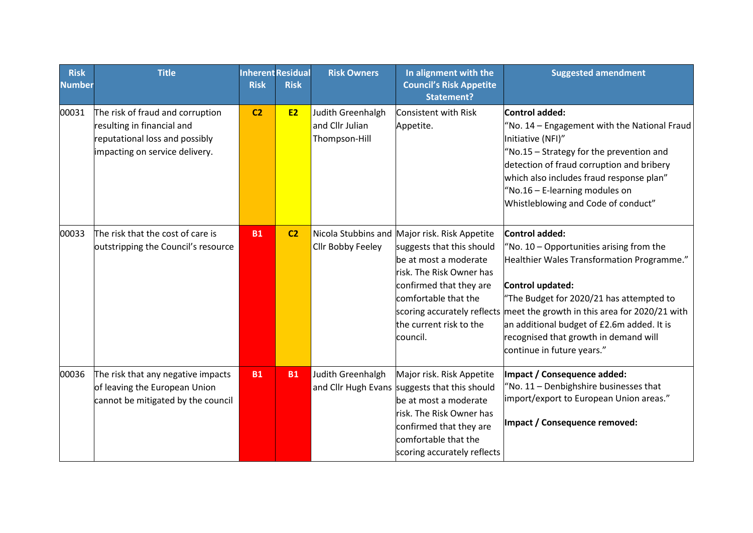| <b>Risk</b><br><b>Number</b> | <b>Title</b>                                                                                                                       | <b>Inherent Residual</b><br><b>Risk</b> | <b>Risk</b>    | <b>Risk Owners</b>                                    | In alignment with the<br><b>Council's Risk Appetite</b><br><b>Statement?</b>                                                                                                                                              | <b>Suggested amendment</b>                                                                                                                                                                                                                                                                                                                                                 |
|------------------------------|------------------------------------------------------------------------------------------------------------------------------------|-----------------------------------------|----------------|-------------------------------------------------------|---------------------------------------------------------------------------------------------------------------------------------------------------------------------------------------------------------------------------|----------------------------------------------------------------------------------------------------------------------------------------------------------------------------------------------------------------------------------------------------------------------------------------------------------------------------------------------------------------------------|
| 00031                        | The risk of fraud and corruption<br>resulting in financial and<br>reputational loss and possibly<br>impacting on service delivery. | C <sub>2</sub>                          | <b>E2</b>      | Judith Greenhalgh<br>and Cllr Julian<br>Thompson-Hill | Consistent with Risk<br>Appetite.                                                                                                                                                                                         | Control added:<br>"No. 14 - Engagement with the National Fraud<br>Initiative (NFI)"<br>"No.15 - Strategy for the prevention and<br>detection of fraud corruption and bribery<br>which also includes fraud response plan"<br>"No.16 - E-learning modules on<br>Whistleblowing and Code of conduct"                                                                          |
| 00033                        | The risk that the cost of care is<br>outstripping the Council's resource                                                           | <b>B1</b>                               | C <sub>2</sub> | Cllr Bobby Feeley                                     | Nicola Stubbins and Major risk. Risk Appetite<br>suggests that this should<br>be at most a moderate<br>risk. The Risk Owner has<br>confirmed that they are<br>comfortable that the<br>the current risk to the<br>council. | Control added:<br>"No. 10 - Opportunities arising from the<br>Healthier Wales Transformation Programme."<br>Control updated:<br>"The Budget for 2020/21 has attempted to<br>scoring accurately reflects meet the growth in this area for 2020/21 with<br>an additional budget of £2.6m added. It is<br>recognised that growth in demand will<br>continue in future years." |
| 00036                        | The risk that any negative impacts<br>of leaving the European Union<br>cannot be mitigated by the council                          | <b>B1</b>                               | <b>B1</b>      | Judith Greenhalgh                                     | Major risk. Risk Appetite<br>and Cllr Hugh Evans suggests that this should<br>be at most a moderate<br>risk. The Risk Owner has<br>confirmed that they are<br>comfortable that the<br>scoring accurately reflects         | Impact / Consequence added:<br>"No. 11 - Denbighshire businesses that<br>import/export to European Union areas."<br>Impact / Consequence removed:                                                                                                                                                                                                                          |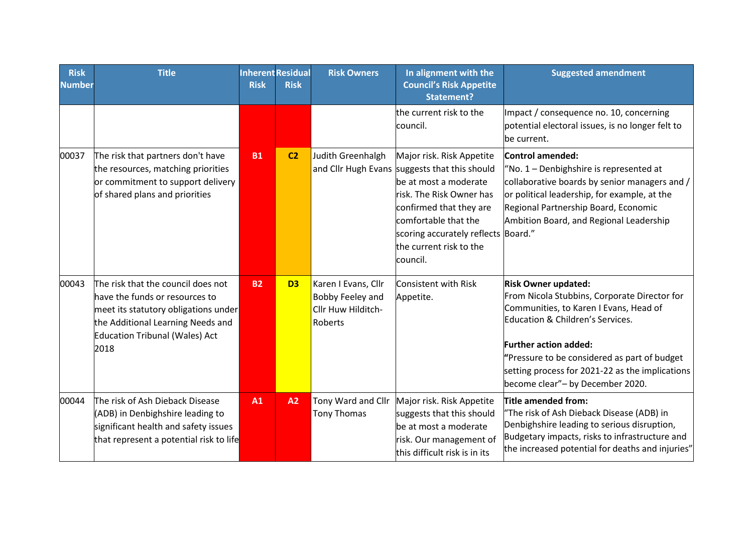| <b>Risk</b><br><b>Number</b> | <b>Title</b>                                                                                                                                                                                       | <b>Risk</b> | <b>Inherent Residual</b><br><b>Risk</b> | <b>Risk Owners</b>                                                              | In alignment with the<br><b>Council's Risk Appetite</b><br><b>Statement?</b>                                                                                                                                                                                     | <b>Suggested amendment</b>                                                                                                                                                                                                                                                                                                                 |
|------------------------------|----------------------------------------------------------------------------------------------------------------------------------------------------------------------------------------------------|-------------|-----------------------------------------|---------------------------------------------------------------------------------|------------------------------------------------------------------------------------------------------------------------------------------------------------------------------------------------------------------------------------------------------------------|--------------------------------------------------------------------------------------------------------------------------------------------------------------------------------------------------------------------------------------------------------------------------------------------------------------------------------------------|
|                              |                                                                                                                                                                                                    |             |                                         |                                                                                 | the current risk to the<br>council.                                                                                                                                                                                                                              | Impact / consequence no. 10, concerning<br>potential electoral issues, is no longer felt to<br>be current.                                                                                                                                                                                                                                 |
| 00037                        | The risk that partners don't have<br>the resources, matching priorities<br>or commitment to support delivery<br>of shared plans and priorities                                                     | <b>B1</b>   | C <sub>2</sub>                          | Judith Greenhalgh                                                               | Major risk. Risk Appetite<br>and Cllr Hugh Evans suggests that this should<br>be at most a moderate<br>risk. The Risk Owner has<br>confirmed that they are<br>comfortable that the<br>scoring accurately reflects Board."<br>the current risk to the<br>council. | <b>Control amended:</b><br>"No. 1 - Denbighshire is represented at<br>collaborative boards by senior managers and /<br>or political leadership, for example, at the<br>Regional Partnership Board, Economic<br>Ambition Board, and Regional Leadership                                                                                     |
| 00043                        | The risk that the council does not<br>have the funds or resources to<br>meet its statutory obligations under<br>the Additional Learning Needs and<br><b>Education Tribunal (Wales) Act</b><br>2018 | <b>B2</b>   | D <sub>3</sub>                          | Karen I Evans, Cllr<br>Bobby Feeley and<br>Cllr Huw Hilditch-<br><b>Roberts</b> | Consistent with Risk<br>Appetite.                                                                                                                                                                                                                                | <b>Risk Owner updated:</b><br>From Nicola Stubbins, Corporate Director for<br>Communities, to Karen I Evans, Head of<br><b>Education &amp; Children's Services.</b><br><b>Further action added:</b><br>"Pressure to be considered as part of budget<br>setting process for 2021-22 as the implications<br>become clear"- by December 2020. |
| 00044                        | The risk of Ash Dieback Disease<br>(ADB) in Denbighshire leading to<br>significant health and safety issues<br>that represent a potential risk to life                                             | A1          | A2                                      | Tony Ward and Cllr<br><b>Tony Thomas</b>                                        | Major risk. Risk Appetite<br>suggests that this should<br>be at most a moderate<br>risk. Our management of<br>this difficult risk is in its                                                                                                                      | Title amended from:<br>'The risk of Ash Dieback Disease (ADB) in<br>Denbighshire leading to serious disruption,<br>Budgetary impacts, risks to infrastructure and<br>the increased potential for deaths and injuries"                                                                                                                      |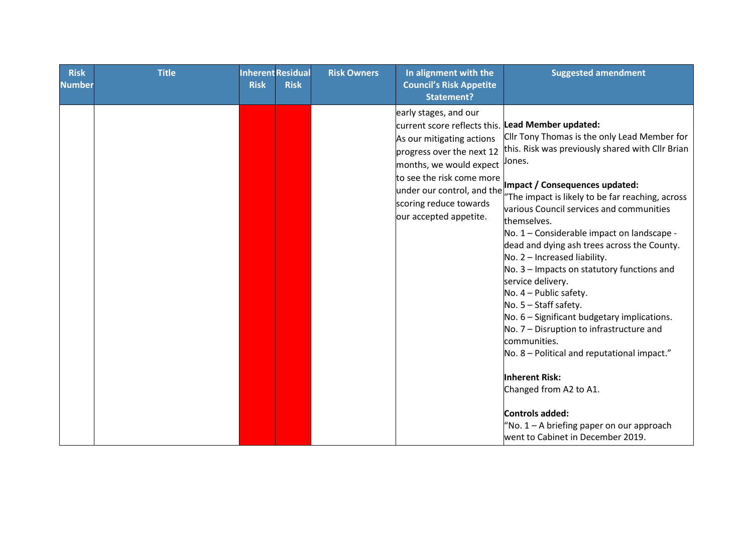| <b>Risk</b><br><b>Number</b> | <b>Title</b> | <b>Risk</b> | <b>Inherent Residual</b><br><b>Risk</b> | <b>Risk Owners</b> | In alignment with the<br><b>Council's Risk Appetite</b><br><b>Statement?</b>                                                                                                                                                                                                   | <b>Suggested amendment</b>                                                                                                                                                                                                                                                                                                                                                                                                                                                                                                                                                                                                                                                                                                                                                                                                                      |
|------------------------------|--------------|-------------|-----------------------------------------|--------------------|--------------------------------------------------------------------------------------------------------------------------------------------------------------------------------------------------------------------------------------------------------------------------------|-------------------------------------------------------------------------------------------------------------------------------------------------------------------------------------------------------------------------------------------------------------------------------------------------------------------------------------------------------------------------------------------------------------------------------------------------------------------------------------------------------------------------------------------------------------------------------------------------------------------------------------------------------------------------------------------------------------------------------------------------------------------------------------------------------------------------------------------------|
|                              |              |             |                                         |                    | early stages, and our<br>current score reflects this. Lead Member updated:<br>As our mitigating actions<br>progress over the next 12<br>months, we would expect<br>to see the risk come more<br>under our control, and the<br>scoring reduce towards<br>our accepted appetite. | Cllr Tony Thomas is the only Lead Member for<br>this. Risk was previously shared with Cllr Brian<br>Jones.<br>Impact / Consequences updated:<br>"The impact is likely to be far reaching, across<br>various Council services and communities<br>themselves.<br>No. 1 - Considerable impact on landscape -<br>dead and dying ash trees across the County.<br>$No. 2 - increased liability.$<br>$No. 3 - Impacts on statutory functions and$<br>service delivery.<br>No. 4 - Public safety.<br>No. 5 - Staff safety.<br>No. 6 - Significant budgetary implications.<br>No. 7 - Disruption to infrastructure and<br>communities.<br>$No. 8 - Political$ and reputational impact."<br><b>Inherent Risk:</b><br>Changed from A2 to A1.<br><b>Controls added:</b><br>"No. $1 - A$ briefing paper on our approach<br>went to Cabinet in December 2019. |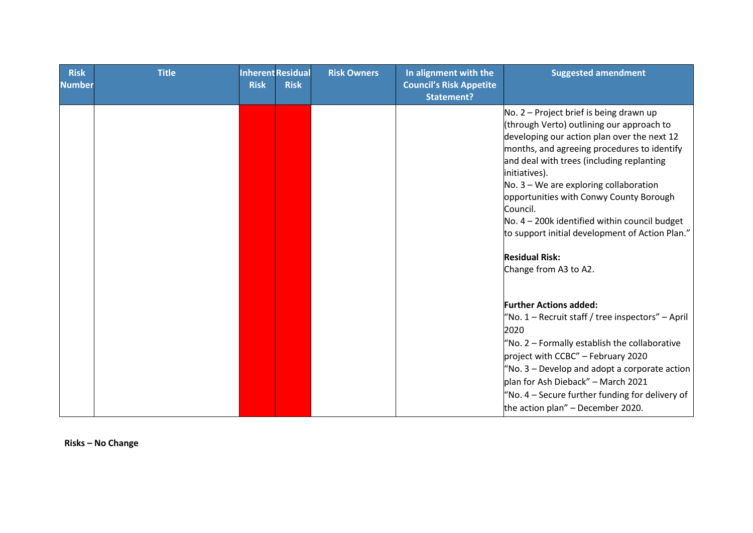| <b>Risk</b><br><b>Number</b> | <b>Title</b> | <b>Risk</b> | <b>Inherent Residual</b><br><b>Risk</b> | <b>Risk Owners</b> | In alignment with the<br><b>Council's Risk Appetite</b><br><b>Statement?</b> | <b>Suggested amendment</b>                                                                                                                                                                                                                                                                                                                                                                                                                                                                                  |
|------------------------------|--------------|-------------|-----------------------------------------|--------------------|------------------------------------------------------------------------------|-------------------------------------------------------------------------------------------------------------------------------------------------------------------------------------------------------------------------------------------------------------------------------------------------------------------------------------------------------------------------------------------------------------------------------------------------------------------------------------------------------------|
|                              |              |             |                                         |                    |                                                                              | No. $2$ – Project brief is being drawn up<br>(through Verto) outlining our approach to<br>developing our action plan over the next 12<br>months, and agreeing procedures to identify<br>and deal with trees (including replanting<br>initiatives).<br>$No. 3 - We are exploring collaboration$<br>opportunities with Conwy County Borough<br>Council.<br>No. 4 - 200k identified within council budget<br>to support initial development of Action Plan."<br><b>Residual Risk:</b><br>Change from A3 to A2. |
|                              |              |             |                                         |                    |                                                                              | <b>Further Actions added:</b><br>"No. 1 - Recruit staff / tree inspectors" - April<br>2020<br>"No. $2$ – Formally establish the collaborative<br>project with CCBC" - February 2020<br>"No. 3 - Develop and adopt a corporate action<br>plan for Ash Dieback" - March 2021<br>"No. 4 – Secure further funding for delivery of<br>the action plan" $-$ December 2020.                                                                                                                                        |

**Risks – No Change**